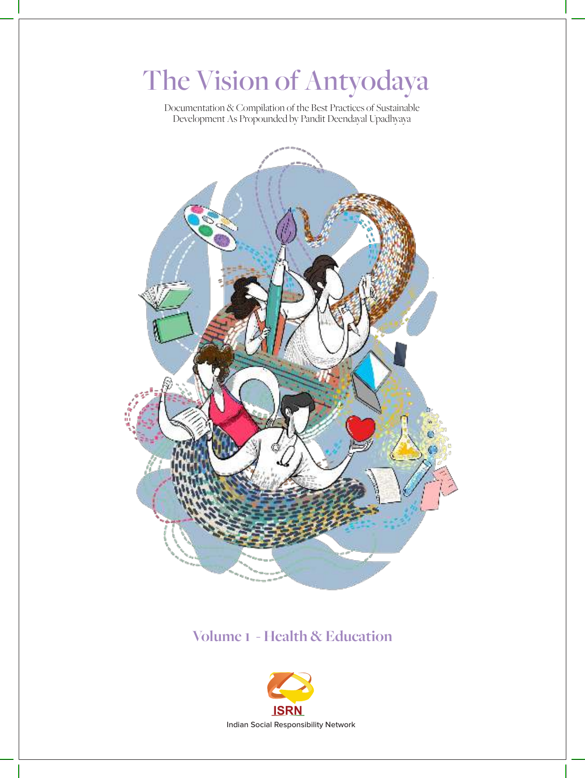# The Vision of Antyodaya

Documentation & Compilation of the Best Practices of Sustainable Development As Propounded by Pandit Deendayal Upadhyaya



### **Volume 1 - Health & Education**

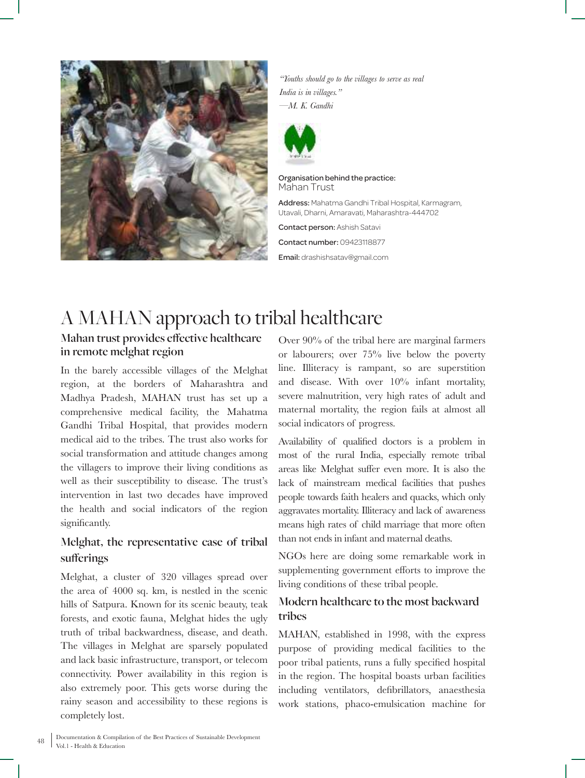

*"Youths should go to the villages to serve as real India is in villages." —M. K. Gandhi*



Organisation behind the practice: Mahan Trust

Address: Mahatma Gandhi Tribal Hospital, Karmagram, Utavali, Dharni, Amaravati, Maharashtra-444702

Contact person: Ashish Satavi Contact number: 09423118877

Email: drashishsatav@gmail.com

## A MAHAN approach to tribal healthcare

#### **Mahan trust provides effective healthcare in remote melghat region**

In the barely accessible villages of the Melghat region, at the borders of Maharashtra and Madhya Pradesh, MAHAN trust has set up a comprehensive medical facility, the Mahatma Gandhi Tribal Hospital, that provides modern medical aid to the tribes. The trust also works for social transformation and attitude changes among the villagers to improve their living conditions as well as their susceptibility to disease. The trust's intervention in last two decades have improved the health and social indicators of the region significantly.

#### **Melghat, the representative case of tribal sufferings**

Melghat, a cluster of 320 villages spread over the area of 4000 sq. km, is nestled in the scenic hills of Satpura. Known for its scenic beauty, teak forests, and exotic fauna, Melghat hides the ugly truth of tribal backwardness, disease, and death. The villages in Melghat are sparsely populated and lack basic infrastructure, transport, or telecom connectivity. Power availability in this region is also extremely poor. This gets worse during the rainy season and accessibility to these regions is completely lost.

Over 90% of the tribal here are marginal farmers or labourers; over 75% live below the poverty line. Illiteracy is rampant, so are superstition and disease. With over 10% infant mortality, severe malnutrition, very high rates of adult and maternal mortality, the region fails at almost all social indicators of progress.

Availability of qualified doctors is a problem in most of the rural India, especially remote tribal areas like Melghat suffer even more. It is also the lack of mainstream medical facilities that pushes people towards faith healers and quacks, which only aggravates mortality. Illiteracy and lack of awareness means high rates of child marriage that more often than not ends in infant and maternal deaths.

NGOs here are doing some remarkable work in supplementing government efforts to improve the living conditions of these tribal people.

#### **Modern healthcare to the most backward tribes**

MAHAN, established in 1998, with the express purpose of providing medical facilities to the poor tribal patients, runs a fully specified hospital in the region. The hospital boasts urban facilities including ventilators, defibrillators, anaesthesia work stations, phaco-emulsication machine for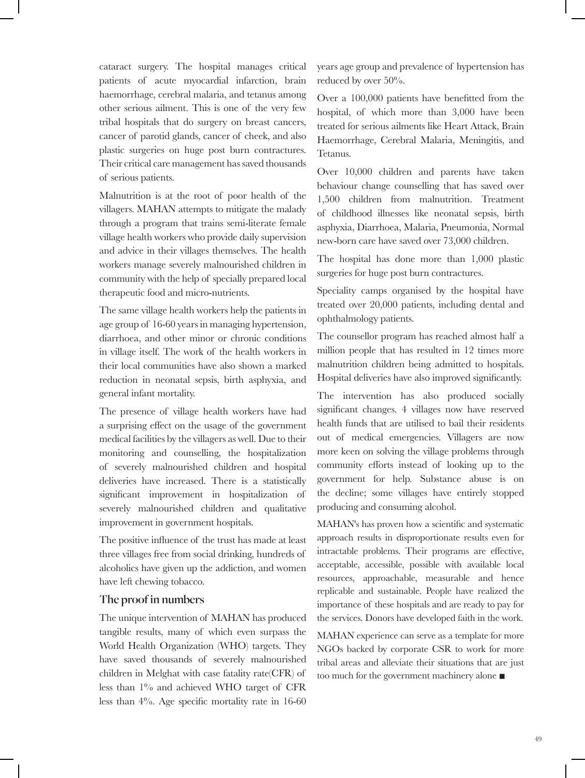cataract surgery. The hospital manages critical patients of acute myocardial infarction, brain haemorrhage, cerebral malaria, and tetanus among other serious ailment. This is one of the very few tribal hospitals that do surgery on breast cancers, cancer of parotid glands, cancer of cheek, and also plastic surgeries on huge post burn contractures. Their critical care management has saved thousands of serious patients.

Malnutrition is at the root of poor health of the villagers. MAHAN attempts to mitigate the malady through a program that trains semi-literate female village health workers who provide daily supervision and advice in their villages themselves. The health workers manage severely malnourished children in community with the help of specially prepared local therapeutic food and micro-nutrients.

The same village health workers help the patients in age group of 16-60 years in managing hypertension, diarrhoea, and other minor or chronic conditions in village itself. The work of the health workers in their local communities have also shown a marked reduction in neonatal sepsis, birth asphyxia, and general infant mortality.

The presence of village health workers have had a surprising effect on the usage of the government medical facilities by the villagers as well. Due to their monitoring and counselling, the hospitalization of severely malnourished children and hospital deliveries have increased. There is a statistically significant improvement in hospitalization of severely malnourished children and qualitative improvement in government hospitals.

The positive influence of the trust has made at least three villages free from social drinking, hundreds of alcoholics have given up the addiction, and women have left chewing tobacco.

#### **The proof in numbers**

The unique intervention of MAHAN has produced tangible results, many of which even surpass the World Health Organization (WHO) targets. They have saved thousands of severely malnourished children in Melghat with case fatality rate(CFR) of less than 1% and achieved WHO target of CFR less than 4%. Age specific mortality rate in 16-60

years age group and prevalence of hypertension has reduced by over 50%.

Over a 100,000 patients have benefitted from the hospital, of which more than 3,000 have been treated for serious ailments like Heart Attack, Brain Haemorrhage, Cerebral Malaria, Meningitis, and Tetanus.

Over 10,000 children and parents have taken behaviour change counselling that has saved over 1,500 children from malnutrition. Treatment of childhood illnesses like neonatal sepsis, birth asphyxia, Diarrhoea, Malaria, Pneumonia, Normal new-born care have saved over 73,000 children.

The hospital has done more than 1,000 plastic surgeries for huge post burn contractures.

Speciality camps organised by the hospital have treated over 20,000 patients, including dental and ophthalmology patients.

The counsellor program has reached almost half a million people that has resulted in 12 times more malnutrition children being admitted to hospitals. Hospital deliveries have also improved significantly.

The intervention has also produced socially significant changes. 4 villages now have reserved health funds that are utilised to bail their residents out of medical emergencies. Villagers are now more keen on solving the village problems through community efforts instead of looking up to the government for help. Substance abuse is on the decline; some villages have entirely stopped producing and consuming alcohol.

MAHAN's has proven how a scientific and systematic approach results in disproportionate results even for intractable problems. Their programs are effective, acceptable, accessible, possible with available local resources, approachable, measurable and hence replicable and sustainable. People have realized the importance of these hospitals and are ready to pay for the services. Donors have developed faith in the work.

MAHAN experience can serve as a template for more NGOs backed by corporate CSR to work for more tribal areas and alleviate their situations that are just too much for the government machinery alone